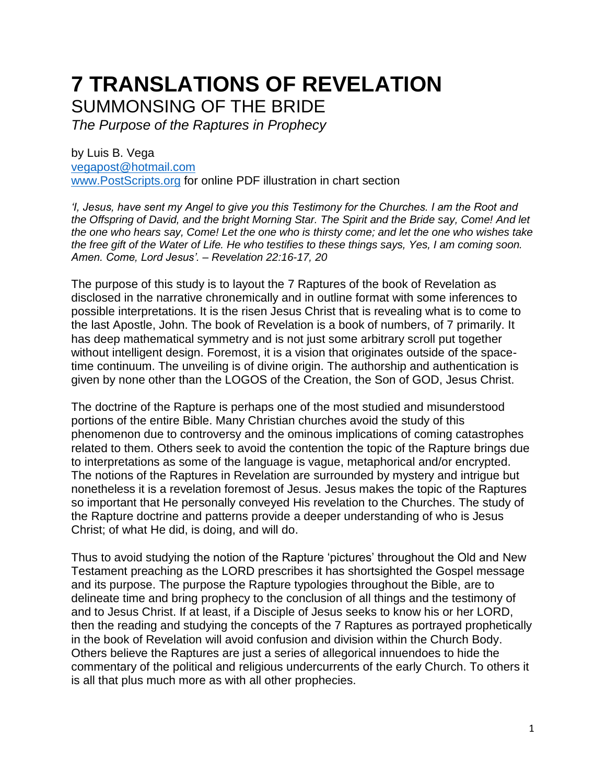# **7 TRANSLATIONS OF REVELATION** SUMMONSING OF THE BRIDE

*The Purpose of the Raptures in Prophecy*

by Luis B. Vega [vegapost@hotmail.com](mailto:vegapost@hotmail.com) [www.PostScripts.org](http://www.postscripts.org/) for online PDF illustration in chart section

*'I, Jesus, have sent my Angel to give you this Testimony for the Churches. I am the Root and the Offspring of David, and the bright Morning Star. The Spirit and the Bride say, Come! And let the one who hears say, Come! Let the one who is thirsty come; and let the one who wishes take the free gift of the Water of Life. He who testifies to these things says, Yes, I am coming soon. Amen. Come, Lord Jesus'. – Revelation 22:16-17, 20*

The purpose of this study is to layout the 7 Raptures of the book of Revelation as disclosed in the narrative chronemically and in outline format with some inferences to possible interpretations. It is the risen Jesus Christ that is revealing what is to come to the last Apostle, John. The book of Revelation is a book of numbers, of 7 primarily. It has deep mathematical symmetry and is not just some arbitrary scroll put together without intelligent design. Foremost, it is a vision that originates outside of the spacetime continuum. The unveiling is of divine origin. The authorship and authentication is given by none other than the LOGOS of the Creation, the Son of GOD, Jesus Christ.

The doctrine of the Rapture is perhaps one of the most studied and misunderstood portions of the entire Bible. Many Christian churches avoid the study of this phenomenon due to controversy and the ominous implications of coming catastrophes related to them. Others seek to avoid the contention the topic of the Rapture brings due to interpretations as some of the language is vague, metaphorical and/or encrypted. The notions of the Raptures in Revelation are surrounded by mystery and intrigue but nonetheless it is a revelation foremost of Jesus. Jesus makes the topic of the Raptures so important that He personally conveyed His revelation to the Churches. The study of the Rapture doctrine and patterns provide a deeper understanding of who is Jesus Christ; of what He did, is doing, and will do.

Thus to avoid studying the notion of the Rapture 'pictures' throughout the Old and New Testament preaching as the LORD prescribes it has shortsighted the Gospel message and its purpose. The purpose the Rapture typologies throughout the Bible, are to delineate time and bring prophecy to the conclusion of all things and the testimony of and to Jesus Christ. If at least, if a Disciple of Jesus seeks to know his or her LORD, then the reading and studying the concepts of the 7 Raptures as portrayed prophetically in the book of Revelation will avoid confusion and division within the Church Body. Others believe the Raptures are just a series of allegorical innuendoes to hide the commentary of the political and religious undercurrents of the early Church. To others it is all that plus much more as with all other prophecies.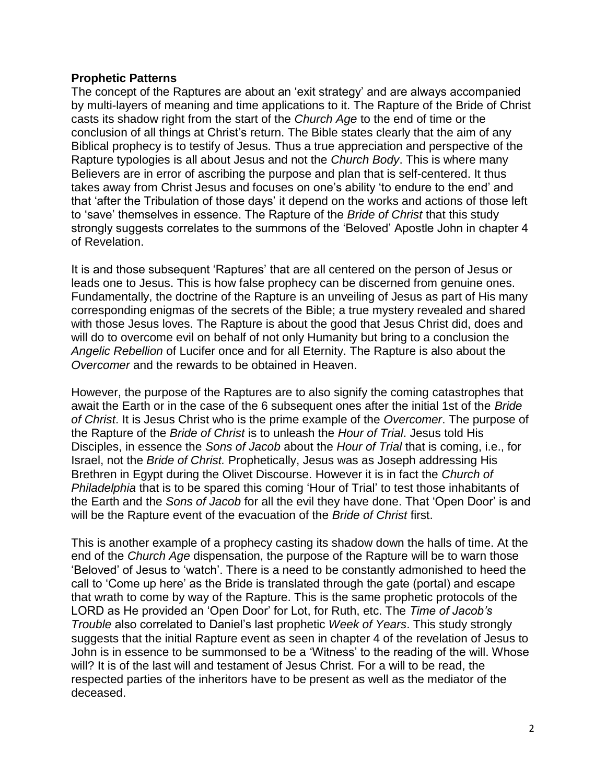# **Prophetic Patterns**

The concept of the Raptures are about an 'exit strategy' and are always accompanied by multi-layers of meaning and time applications to it. The Rapture of the Bride of Christ casts its shadow right from the start of the *Church Age* to the end of time or the conclusion of all things at Christ's return. The Bible states clearly that the aim of any Biblical prophecy is to testify of Jesus. Thus a true appreciation and perspective of the Rapture typologies is all about Jesus and not the *Church Body*. This is where many Believers are in error of ascribing the purpose and plan that is self-centered. It thus takes away from Christ Jesus and focuses on one's ability 'to endure to the end' and that 'after the Tribulation of those days' it depend on the works and actions of those left to 'save' themselves in essence. The Rapture of the *Bride of Christ* that this study strongly suggests correlates to the summons of the 'Beloved' Apostle John in chapter 4 of Revelation.

It is and those subsequent 'Raptures' that are all centered on the person of Jesus or leads one to Jesus. This is how false prophecy can be discerned from genuine ones. Fundamentally, the doctrine of the Rapture is an unveiling of Jesus as part of His many corresponding enigmas of the secrets of the Bible; a true mystery revealed and shared with those Jesus loves. The Rapture is about the good that Jesus Christ did, does and will do to overcome evil on behalf of not only Humanity but bring to a conclusion the *Angelic Rebellion* of Lucifer once and for all Eternity. The Rapture is also about the *Overcomer* and the rewards to be obtained in Heaven.

However, the purpose of the Raptures are to also signify the coming catastrophes that await the Earth or in the case of the 6 subsequent ones after the initial 1st of the *Bride of Christ*. It is Jesus Christ who is the prime example of the *Overcomer*. The purpose of the Rapture of the *Bride of Christ* is to unleash the *Hour of Trial*. Jesus told His Disciples, in essence the *Sons of Jacob* about the *Hour of Trial* that is coming, i.e., for Israel, not the *Bride of Christ.* Prophetically, Jesus was as Joseph addressing His Brethren in Egypt during the Olivet Discourse. However it is in fact the *Church of Philadelphia* that is to be spared this coming 'Hour of Trial' to test those inhabitants of the Earth and the *Sons of Jacob* for all the evil they have done. That 'Open Door' is and will be the Rapture event of the evacuation of the *Bride of Christ* first.

This is another example of a prophecy casting its shadow down the halls of time. At the end of the *Church Age* dispensation, the purpose of the Rapture will be to warn those 'Beloved' of Jesus to 'watch'. There is a need to be constantly admonished to heed the call to 'Come up here' as the Bride is translated through the gate (portal) and escape that wrath to come by way of the Rapture. This is the same prophetic protocols of the LORD as He provided an 'Open Door' for Lot, for Ruth, etc. The *Time of Jacob's Trouble* also correlated to Daniel's last prophetic *Week of Years*. This study strongly suggests that the initial Rapture event as seen in chapter 4 of the revelation of Jesus to John is in essence to be summonsed to be a 'Witness' to the reading of the will. Whose will? It is of the last will and testament of Jesus Christ. For a will to be read, the respected parties of the inheritors have to be present as well as the mediator of the deceased.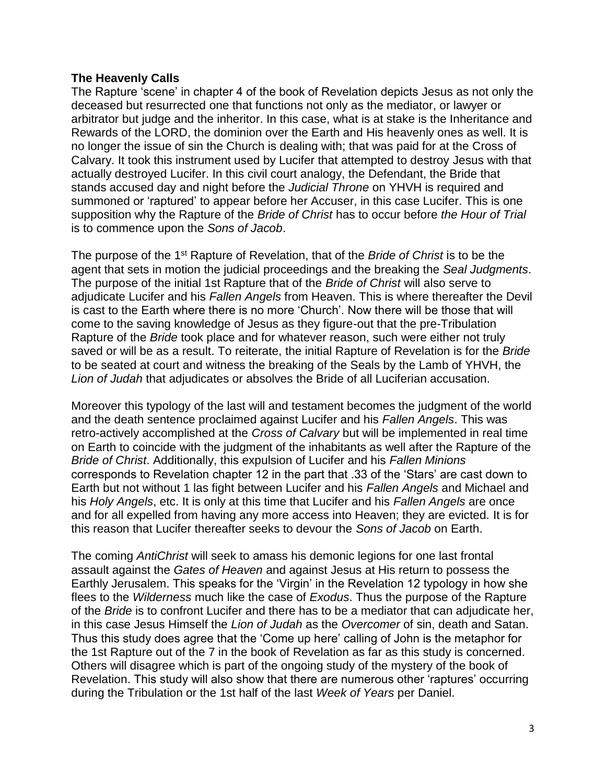# **The Heavenly Calls**

The Rapture 'scene' in chapter 4 of the book of Revelation depicts Jesus as not only the deceased but resurrected one that functions not only as the mediator, or lawyer or arbitrator but judge and the inheritor. In this case, what is at stake is the Inheritance and Rewards of the LORD, the dominion over the Earth and His heavenly ones as well. It is no longer the issue of sin the Church is dealing with; that was paid for at the Cross of Calvary. It took this instrument used by Lucifer that attempted to destroy Jesus with that actually destroyed Lucifer. In this civil court analogy, the Defendant, the Bride that stands accused day and night before the *Judicial Throne* on YHVH is required and summoned or 'raptured' to appear before her Accuser, in this case Lucifer. This is one supposition why the Rapture of the *Bride of Christ* has to occur before *the Hour of Trial* is to commence upon the *Sons of Jacob*.

The purpose of the 1st Rapture of Revelation, that of the *Bride of Christ* is to be the agent that sets in motion the judicial proceedings and the breaking the *Seal Judgments*. The purpose of the initial 1st Rapture that of the *Bride of Christ* will also serve to adjudicate Lucifer and his *Fallen Angels* from Heaven. This is where thereafter the Devil is cast to the Earth where there is no more 'Church'. Now there will be those that will come to the saving knowledge of Jesus as they figure-out that the pre-Tribulation Rapture of the *Bride* took place and for whatever reason, such were either not truly saved or will be as a result. To reiterate, the initial Rapture of Revelation is for the *Bride* to be seated at court and witness the breaking of the Seals by the Lamb of YHVH, the *Lion of Judah* that adjudicates or absolves the Bride of all Luciferian accusation.

Moreover this typology of the last will and testament becomes the judgment of the world and the death sentence proclaimed against Lucifer and his *Fallen Angels*. This was retro-actively accomplished at the *Cross of Calvary* but will be implemented in real time on Earth to coincide with the judgment of the inhabitants as well after the Rapture of the *Bride of Christ*. Additionally, this expulsion of Lucifer and his *Fallen Minions* corresponds to Revelation chapter 12 in the part that .33 of the 'Stars' are cast down to Earth but not without 1 las fight between Lucifer and his *Fallen Angels* and Michael and his *Holy Angels*, etc. It is only at this time that Lucifer and his *Fallen Angels* are once and for all expelled from having any more access into Heaven; they are evicted. It is for this reason that Lucifer thereafter seeks to devour the *Sons of Jacob* on Earth.

The coming *AntiChrist* will seek to amass his demonic legions for one last frontal assault against the *Gates of Heaven* and against Jesus at His return to possess the Earthly Jerusalem. This speaks for the 'Virgin' in the Revelation 12 typology in how she flees to the *Wilderness* much like the case of *Exodus*. Thus the purpose of the Rapture of the *Bride* is to confront Lucifer and there has to be a mediator that can adjudicate her, in this case Jesus Himself the *Lion of Judah* as the *Overcomer* of sin, death and Satan. Thus this study does agree that the 'Come up here' calling of John is the metaphor for the 1st Rapture out of the 7 in the book of Revelation as far as this study is concerned. Others will disagree which is part of the ongoing study of the mystery of the book of Revelation. This study will also show that there are numerous other 'raptures' occurring during the Tribulation or the 1st half of the last *Week of Years* per Daniel.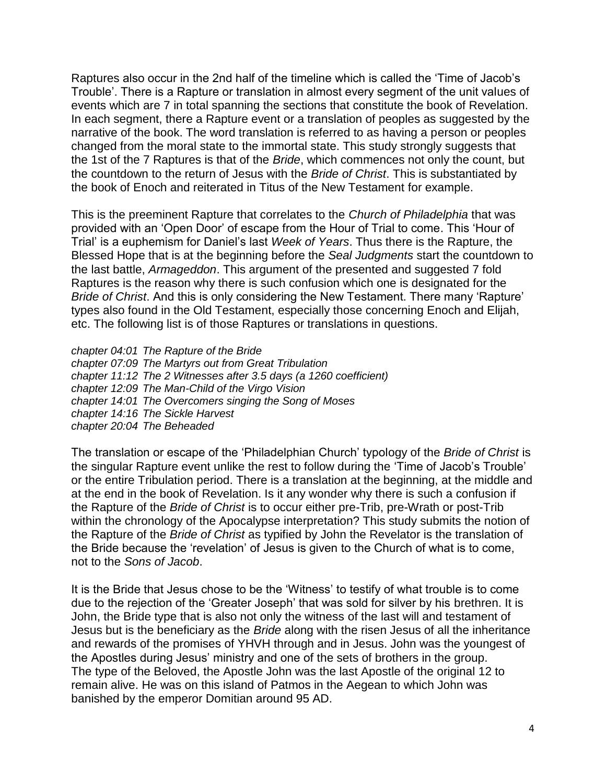Raptures also occur in the 2nd half of the timeline which is called the 'Time of Jacob's Trouble'. There is a Rapture or translation in almost every segment of the unit values of events which are 7 in total spanning the sections that constitute the book of Revelation. In each segment, there a Rapture event or a translation of peoples as suggested by the narrative of the book. The word translation is referred to as having a person or peoples changed from the moral state to the immortal state. This study strongly suggests that the 1st of the 7 Raptures is that of the *Bride*, which commences not only the count, but the countdown to the return of Jesus with the *Bride of Christ*. This is substantiated by the book of Enoch and reiterated in Titus of the New Testament for example.

This is the preeminent Rapture that correlates to the *Church of Philadelphia* that was provided with an 'Open Door' of escape from the Hour of Trial to come. This 'Hour of Trial' is a euphemism for Daniel's last *Week of Years*. Thus there is the Rapture, the Blessed Hope that is at the beginning before the *Seal Judgments* start the countdown to the last battle, *Armageddon*. This argument of the presented and suggested 7 fold Raptures is the reason why there is such confusion which one is designated for the *Bride of Christ*. And this is only considering the New Testament. There many 'Rapture' types also found in the Old Testament, especially those concerning Enoch and Elijah, etc. The following list is of those Raptures or translations in questions.

*chapter 04:01 The Rapture of the Bride chapter 07:09 The Martyrs out from Great Tribulation chapter 11:12 The 2 Witnesses after 3.5 days (a 1260 coefficient) chapter 12:09 The Man-Child of the Virgo Vision chapter 14:01 The Overcomers singing the Song of Moses chapter 14:16 The Sickle Harvest chapter 20:04 The Beheaded*

The translation or escape of the 'Philadelphian Church' typology of the *Bride of Christ* is the singular Rapture event unlike the rest to follow during the 'Time of Jacob's Trouble' or the entire Tribulation period. There is a translation at the beginning, at the middle and at the end in the book of Revelation. Is it any wonder why there is such a confusion if the Rapture of the *Bride of Christ* is to occur either pre-Trib, pre-Wrath or post-Trib within the chronology of the Apocalypse interpretation? This study submits the notion of the Rapture of the *Bride of Christ* as typified by John the Revelator is the translation of the Bride because the 'revelation' of Jesus is given to the Church of what is to come, not to the *Sons of Jacob*.

It is the Bride that Jesus chose to be the 'Witness' to testify of what trouble is to come due to the rejection of the 'Greater Joseph' that was sold for silver by his brethren. It is John, the Bride type that is also not only the witness of the last will and testament of Jesus but is the beneficiary as the *Bride* along with the risen Jesus of all the inheritance and rewards of the promises of YHVH through and in Jesus. John was the youngest of the Apostles during Jesus' ministry and one of the sets of brothers in the group. The type of the Beloved, the Apostle John was the last Apostle of the original 12 to remain alive. He was on this island of Patmos in the Aegean to which John was banished by the emperor Domitian around 95 AD.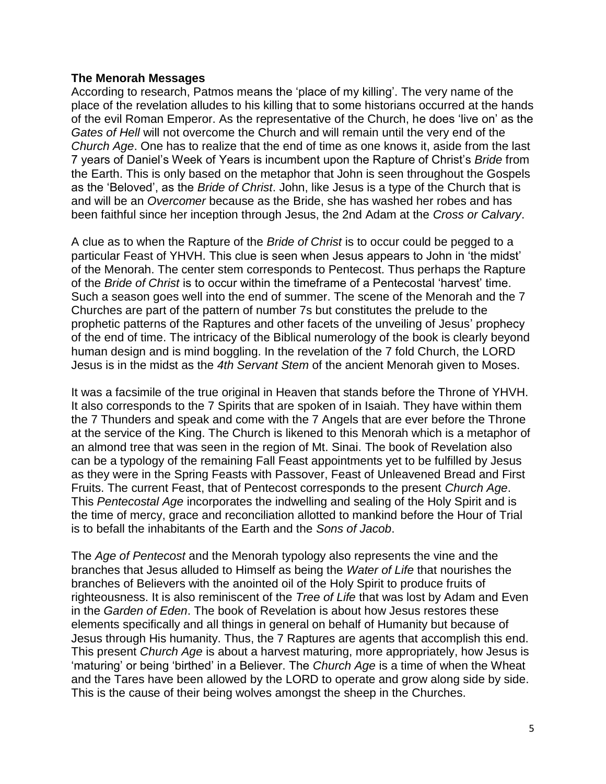#### **The Menorah Messages**

According to research, Patmos means the 'place of my killing'. The very name of the place of the revelation alludes to his killing that to some historians occurred at the hands of the evil Roman Emperor. As the representative of the Church, he does 'live on' as the *Gates of Hell* will not overcome the Church and will remain until the very end of the *Church Age*. One has to realize that the end of time as one knows it, aside from the last 7 years of Daniel's Week of Years is incumbent upon the Rapture of Christ's *Bride* from the Earth. This is only based on the metaphor that John is seen throughout the Gospels as the 'Beloved', as the *Bride of Christ*. John, like Jesus is a type of the Church that is and will be an *Overcomer* because as the Bride, she has washed her robes and has been faithful since her inception through Jesus, the 2nd Adam at the *Cross or Calvary*.

A clue as to when the Rapture of the *Bride of Christ* is to occur could be pegged to a particular Feast of YHVH. This clue is seen when Jesus appears to John in 'the midst' of the Menorah. The center stem corresponds to Pentecost. Thus perhaps the Rapture of the *Bride of Christ* is to occur within the timeframe of a Pentecostal 'harvest' time. Such a season goes well into the end of summer. The scene of the Menorah and the 7 Churches are part of the pattern of number 7s but constitutes the prelude to the prophetic patterns of the Raptures and other facets of the unveiling of Jesus' prophecy of the end of time. The intricacy of the Biblical numerology of the book is clearly beyond human design and is mind boggling. In the revelation of the 7 fold Church, the LORD Jesus is in the midst as the *4th Servant Stem* of the ancient Menorah given to Moses.

It was a facsimile of the true original in Heaven that stands before the Throne of YHVH. It also corresponds to the 7 Spirits that are spoken of in Isaiah. They have within them the 7 Thunders and speak and come with the 7 Angels that are ever before the Throne at the service of the King. The Church is likened to this Menorah which is a metaphor of an almond tree that was seen in the region of Mt. Sinai. The book of Revelation also can be a typology of the remaining Fall Feast appointments yet to be fulfilled by Jesus as they were in the Spring Feasts with Passover, Feast of Unleavened Bread and First Fruits. The current Feast, that of Pentecost corresponds to the present *Church Age*. This *Pentecostal Age* incorporates the indwelling and sealing of the Holy Spirit and is the time of mercy, grace and reconciliation allotted to mankind before the Hour of Trial is to befall the inhabitants of the Earth and the *Sons of Jacob*.

The *Age of Pentecost* and the Menorah typology also represents the vine and the branches that Jesus alluded to Himself as being the *Water of Life* that nourishes the branches of Believers with the anointed oil of the Holy Spirit to produce fruits of righteousness. It is also reminiscent of the *Tree of Life* that was lost by Adam and Even in the *Garden of Eden*. The book of Revelation is about how Jesus restores these elements specifically and all things in general on behalf of Humanity but because of Jesus through His humanity. Thus, the 7 Raptures are agents that accomplish this end. This present *Church Age* is about a harvest maturing, more appropriately, how Jesus is 'maturing' or being 'birthed' in a Believer. The *Church Age* is a time of when the Wheat and the Tares have been allowed by the LORD to operate and grow along side by side. This is the cause of their being wolves amongst the sheep in the Churches.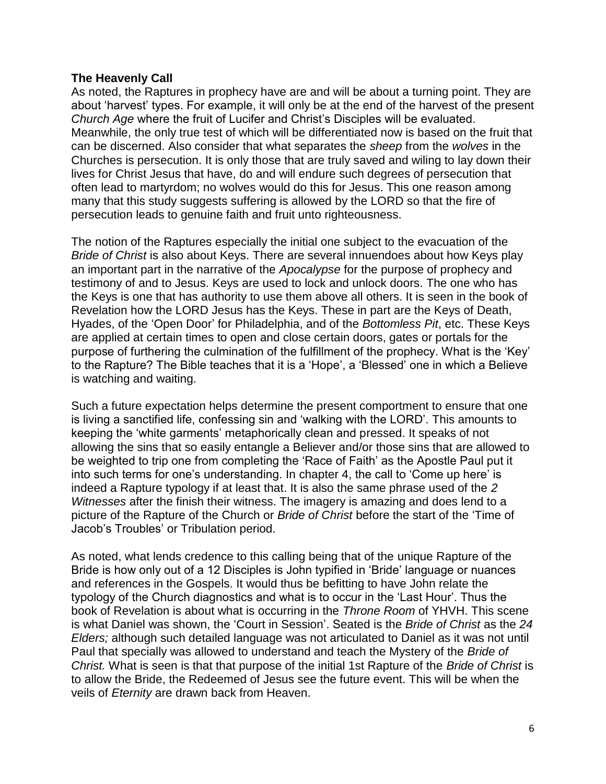### **The Heavenly Call**

As noted, the Raptures in prophecy have are and will be about a turning point. They are about 'harvest' types. For example, it will only be at the end of the harvest of the present *Church Age* where the fruit of Lucifer and Christ's Disciples will be evaluated. Meanwhile, the only true test of which will be differentiated now is based on the fruit that can be discerned. Also consider that what separates the *sheep* from the *wolves* in the Churches is persecution. It is only those that are truly saved and wiling to lay down their lives for Christ Jesus that have, do and will endure such degrees of persecution that often lead to martyrdom; no wolves would do this for Jesus. This one reason among many that this study suggests suffering is allowed by the LORD so that the fire of persecution leads to genuine faith and fruit unto righteousness.

The notion of the Raptures especially the initial one subject to the evacuation of the *Bride of Christ* is also about Keys. There are several innuendoes about how Keys play an important part in the narrative of the *Apocalypse* for the purpose of prophecy and testimony of and to Jesus. Keys are used to lock and unlock doors. The one who has the Keys is one that has authority to use them above all others. It is seen in the book of Revelation how the LORD Jesus has the Keys. These in part are the Keys of Death, Hyades, of the 'Open Door' for Philadelphia, and of the *Bottomless Pit*, etc. These Keys are applied at certain times to open and close certain doors, gates or portals for the purpose of furthering the culmination of the fulfillment of the prophecy. What is the 'Key' to the Rapture? The Bible teaches that it is a 'Hope', a 'Blessed' one in which a Believe is watching and waiting.

Such a future expectation helps determine the present comportment to ensure that one is living a sanctified life, confessing sin and 'walking with the LORD'. This amounts to keeping the 'white garments' metaphorically clean and pressed. It speaks of not allowing the sins that so easily entangle a Believer and/or those sins that are allowed to be weighted to trip one from completing the 'Race of Faith' as the Apostle Paul put it into such terms for one's understanding. In chapter 4, the call to 'Come up here' is indeed a Rapture typology if at least that. It is also the same phrase used of the *2 Witnesses* after the finish their witness. The imagery is amazing and does lend to a picture of the Rapture of the Church or *Bride of Christ* before the start of the 'Time of Jacob's Troubles' or Tribulation period.

As noted, what lends credence to this calling being that of the unique Rapture of the Bride is how only out of a 12 Disciples is John typified in 'Bride' language or nuances and references in the Gospels. It would thus be befitting to have John relate the typology of the Church diagnostics and what is to occur in the 'Last Hour'. Thus the book of Revelation is about what is occurring in the *Throne Room* of YHVH. This scene is what Daniel was shown, the 'Court in Session'. Seated is the *Bride of Christ* as the *24 Elders;* although such detailed language was not articulated to Daniel as it was not until Paul that specially was allowed to understand and teach the Mystery of the *Bride of Christ.* What is seen is that that purpose of the initial 1st Rapture of the *Bride of Christ* is to allow the Bride, the Redeemed of Jesus see the future event. This will be when the veils of *Eternity* are drawn back from Heaven.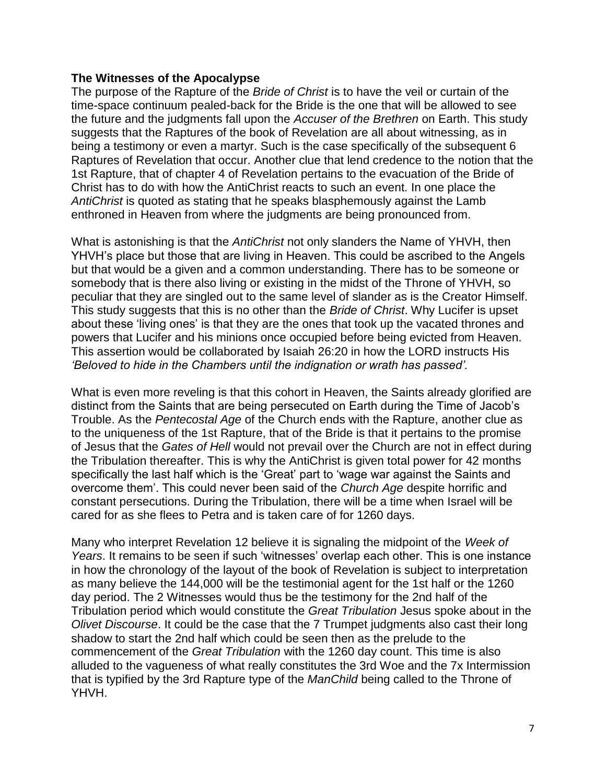# **The Witnesses of the Apocalypse**

The purpose of the Rapture of the *Bride of Christ* is to have the veil or curtain of the time-space continuum pealed-back for the Bride is the one that will be allowed to see the future and the judgments fall upon the *Accuser of the Brethren* on Earth. This study suggests that the Raptures of the book of Revelation are all about witnessing, as in being a testimony or even a martyr. Such is the case specifically of the subsequent 6 Raptures of Revelation that occur. Another clue that lend credence to the notion that the 1st Rapture, that of chapter 4 of Revelation pertains to the evacuation of the Bride of Christ has to do with how the AntiChrist reacts to such an event. In one place the *AntiChrist* is quoted as stating that he speaks blasphemously against the Lamb enthroned in Heaven from where the judgments are being pronounced from.

What is astonishing is that the *AntiChrist* not only slanders the Name of YHVH, then YHVH's place but those that are living in Heaven. This could be ascribed to the Angels but that would be a given and a common understanding. There has to be someone or somebody that is there also living or existing in the midst of the Throne of YHVH, so peculiar that they are singled out to the same level of slander as is the Creator Himself. This study suggests that this is no other than the *Bride of Christ*. Why Lucifer is upset about these 'living ones' is that they are the ones that took up the vacated thrones and powers that Lucifer and his minions once occupied before being evicted from Heaven. This assertion would be collaborated by Isaiah 26:20 in how the LORD instructs His *'Beloved to hide in the Chambers until the indignation or wrath has passed'.*

What is even more reveling is that this cohort in Heaven, the Saints already glorified are distinct from the Saints that are being persecuted on Earth during the Time of Jacob's Trouble. As the *Pentecostal Age* of the Church ends with the Rapture, another clue as to the uniqueness of the 1st Rapture, that of the Bride is that it pertains to the promise of Jesus that the *Gates of Hell* would not prevail over the Church are not in effect during the Tribulation thereafter. This is why the AntiChrist is given total power for 42 months specifically the last half which is the 'Great' part to 'wage war against the Saints and overcome them'. This could never been said of the *Church Age* despite horrific and constant persecutions. During the Tribulation, there will be a time when Israel will be cared for as she flees to Petra and is taken care of for 1260 days.

Many who interpret Revelation 12 believe it is signaling the midpoint of the *Week of Years*. It remains to be seen if such 'witnesses' overlap each other. This is one instance in how the chronology of the layout of the book of Revelation is subject to interpretation as many believe the 144,000 will be the testimonial agent for the 1st half or the 1260 day period. The 2 Witnesses would thus be the testimony for the 2nd half of the Tribulation period which would constitute the *Great Tribulation* Jesus spoke about in the *Olivet Discourse*. It could be the case that the 7 Trumpet judgments also cast their long shadow to start the 2nd half which could be seen then as the prelude to the commencement of the *Great Tribulation* with the 1260 day count. This time is also alluded to the vagueness of what really constitutes the 3rd Woe and the 7x Intermission that is typified by the 3rd Rapture type of the *ManChild* being called to the Throne of YHVH.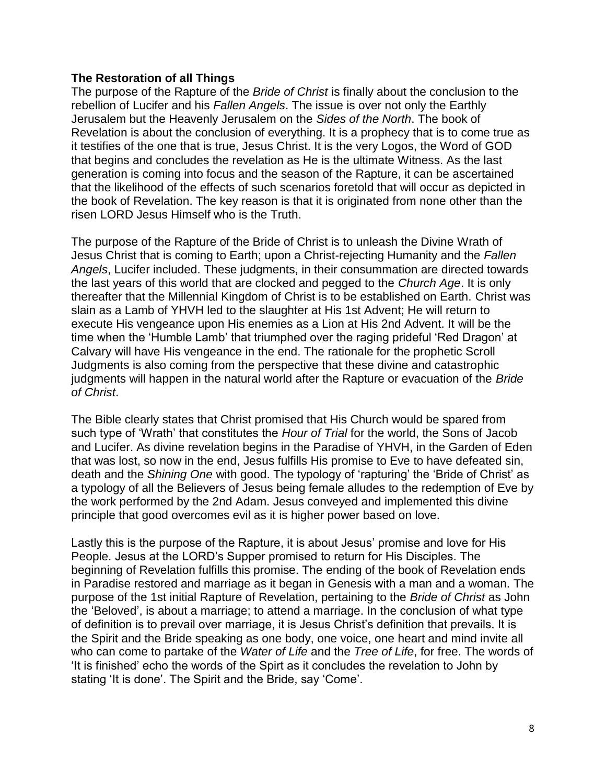# **The Restoration of all Things**

The purpose of the Rapture of the *Bride of Christ* is finally about the conclusion to the rebellion of Lucifer and his *Fallen Angels*. The issue is over not only the Earthly Jerusalem but the Heavenly Jerusalem on the *Sides of the North*. The book of Revelation is about the conclusion of everything. It is a prophecy that is to come true as it testifies of the one that is true, Jesus Christ. It is the very Logos, the Word of GOD that begins and concludes the revelation as He is the ultimate Witness. As the last generation is coming into focus and the season of the Rapture, it can be ascertained that the likelihood of the effects of such scenarios foretold that will occur as depicted in the book of Revelation. The key reason is that it is originated from none other than the risen LORD Jesus Himself who is the Truth.

The purpose of the Rapture of the Bride of Christ is to unleash the Divine Wrath of Jesus Christ that is coming to Earth; upon a Christ-rejecting Humanity and the *Fallen Angels*, Lucifer included. These judgments, in their consummation are directed towards the last years of this world that are clocked and pegged to the *Church Age*. It is only thereafter that the Millennial Kingdom of Christ is to be established on Earth. Christ was slain as a Lamb of YHVH led to the slaughter at His 1st Advent; He will return to execute His vengeance upon His enemies as a Lion at His 2nd Advent. It will be the time when the 'Humble Lamb' that triumphed over the raging prideful 'Red Dragon' at Calvary will have His vengeance in the end. The rationale for the prophetic Scroll Judgments is also coming from the perspective that these divine and catastrophic judgments will happen in the natural world after the Rapture or evacuation of the *Bride of Christ*.

The Bible clearly states that Christ promised that His Church would be spared from such type of 'Wrath' that constitutes the *Hour of Trial* for the world, the Sons of Jacob and Lucifer. As divine revelation begins in the Paradise of YHVH, in the Garden of Eden that was lost, so now in the end, Jesus fulfills His promise to Eve to have defeated sin, death and the *Shining One* with good. The typology of 'rapturing' the 'Bride of Christ' as a typology of all the Believers of Jesus being female alludes to the redemption of Eve by the work performed by the 2nd Adam. Jesus conveyed and implemented this divine principle that good overcomes evil as it is higher power based on love.

Lastly this is the purpose of the Rapture, it is about Jesus' promise and love for His People. Jesus at the LORD's Supper promised to return for His Disciples. The beginning of Revelation fulfills this promise. The ending of the book of Revelation ends in Paradise restored and marriage as it began in Genesis with a man and a woman. The purpose of the 1st initial Rapture of Revelation, pertaining to the *Bride of Christ* as John the 'Beloved', is about a marriage; to attend a marriage. In the conclusion of what type of definition is to prevail over marriage, it is Jesus Christ's definition that prevails. It is the Spirit and the Bride speaking as one body, one voice, one heart and mind invite all who can come to partake of the *Water of Life* and the *Tree of Life*, for free. The words of 'It is finished' echo the words of the Spirt as it concludes the revelation to John by stating 'It is done'. The Spirit and the Bride, say 'Come'.